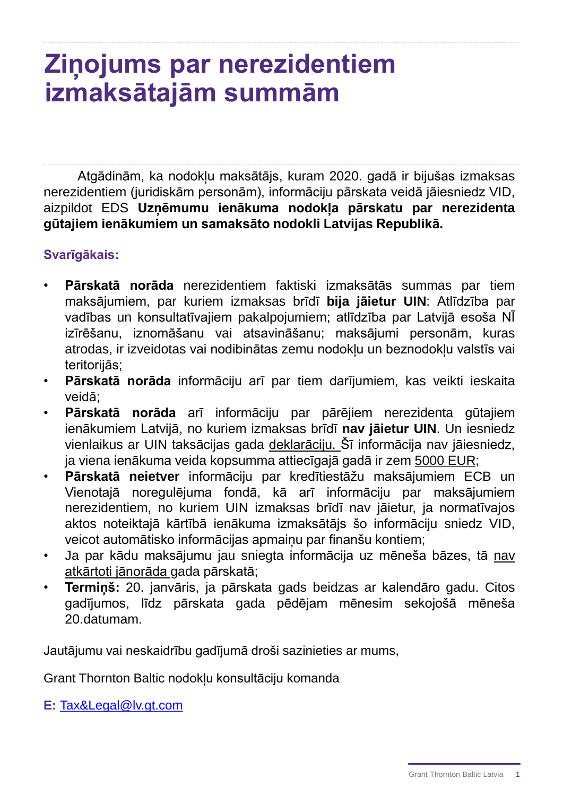## **Ziņojums par nerezidentiem izmaksātajām summām**

Atgādinām, ka nodokļu maksātājs, kuram 2020. gadā ir bijušas izmaksas nerezidentiem (juridiskām personām), informāciju pārskata veidā jāiesniedz VID, aizpildot EDS **Uzņēmumu ienākuma nodokļa pārskatu par nerezidenta gūtajiem ienākumiem un samaksāto nodokli Latvijas Republikā.**

## **Svarīgākais:**

- **Pārskatā norāda** nerezidentiem faktiski izmaksātās summas par tiem maksājumiem, par kuriem izmaksas brīdī **bija jāietur UIN**: Atlīdzība par vadības un konsultatīvajiem pakalpojumiem; atlīdzība par Latvijā esoša NĪ izīrēšanu, iznomāšanu vai atsavināšanu; maksājumi personām, kuras atrodas, ir izveidotas vai nodibinātas zemu nodokļu un beznodokļu valstīs vai teritorijās;
- **Pārskatā norāda** informāciju arī par tiem darījumiem, kas veikti ieskaita veidā;
- **Pārskatā norāda** arī informāciju par pārējiem nerezidenta gūtajiem ienākumiem Latvijā, no kuriem izmaksas brīdī **nav jāietur UIN**. Un iesniedz vienlaikus ar UIN taksācijas gada deklarāciju. Šī informācija nav jāiesniedz, ja viena ienākuma veida kopsumma attiecīgajā gadā ir zem 5000 EUR;
- **Pārskatā neietver** informāciju par kredītiestāžu maksājumiem ECB un Vienotajā noregulējuma fondā, kā arī informāciju par maksājumiem nerezidentiem, no kuriem UIN izmaksas brīdī nav jāietur, ja normatīvajos aktos noteiktajā kārtībā ienākuma izmaksātājs šo informāciju sniedz VID, veicot automātisko informācijas apmaiņu par finanšu kontiem;
- Ja par kādu maksājumu jau sniegta informācija uz mēneša bāzes, tā nav atkārtoti jānorāda gada pārskatā;
- **Termiņš:** 20. janvāris, ja pārskata gads beidzas ar kalendāro gadu. Citos gadījumos, līdz pārskata gada pēdējam mēnesim sekojošā mēneša 20.datumam.

Jautājumu vai neskaidrību gadījumā droši sazinieties ar mums,

Grant Thornton Baltic nodokļu konsultāciju komanda

**E:** [Tax&Legal@lv.gt.com](mailto:Tax&Legal@lv.gt.com)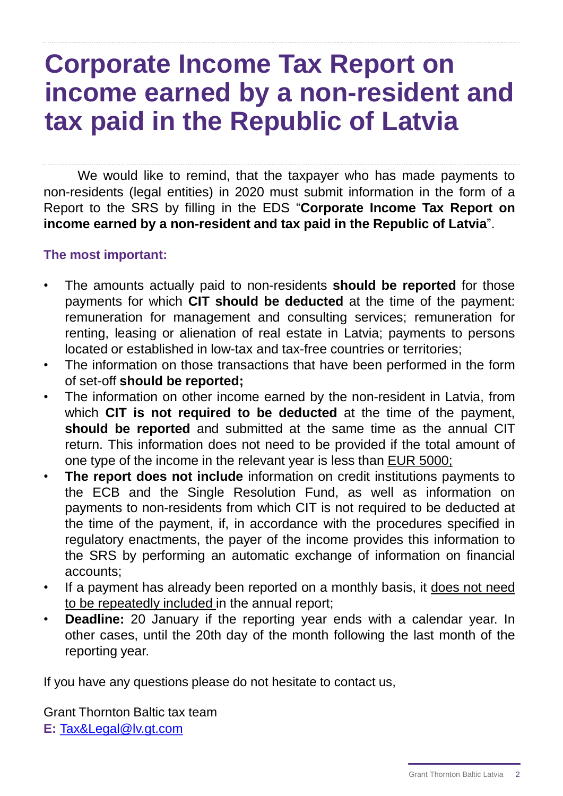## **Corporate Income Tax Report on income earned by a non-resident and tax paid in the Republic of Latvia**

We would like to remind, that the taxpayer who has made payments to non-residents (legal entities) in 2020 must submit information in the form of a Report to the SRS by filling in the EDS "**Corporate Income Tax Report on income earned by a non-resident and tax paid in the Republic of Latvia**".

## **The most important:**

- The amounts actually paid to non-residents **should be reported** for those payments for which **CIT should be deducted** at the time of the payment: remuneration for management and consulting services; remuneration for renting, leasing or alienation of real estate in Latvia; payments to persons located or established in low-tax and tax-free countries or territories;
- The information on those transactions that have been performed in the form of set-off **should be reported;**
- The information on other income earned by the non-resident in Latvia, from which **CIT is not required to be deducted** at the time of the payment, **should be reported** and submitted at the same time as the annual CIT return. This information does not need to be provided if the total amount of one type of the income in the relevant year is less than EUR 5000;
- **The report does not include** information on credit institutions payments to the ECB and the Single Resolution Fund, as well as information on payments to non-residents from which CIT is not required to be deducted at the time of the payment, if, in accordance with the procedures specified in regulatory enactments, the payer of the income provides this information to the SRS by performing an automatic exchange of information on financial accounts;
- If a payment has already been reported on a monthly basis, it does not need to be repeatedly included in the annual report;
- **Deadline:** 20 January if the reporting year ends with a calendar year. In other cases, until the 20th day of the month following the last month of the reporting year.

If you have any questions please do not hesitate to contact us,

Grant Thornton Baltic tax team **E:** [Tax&Legal@lv.gt.com](mailto:Tax&Legal@lv.gt.com)